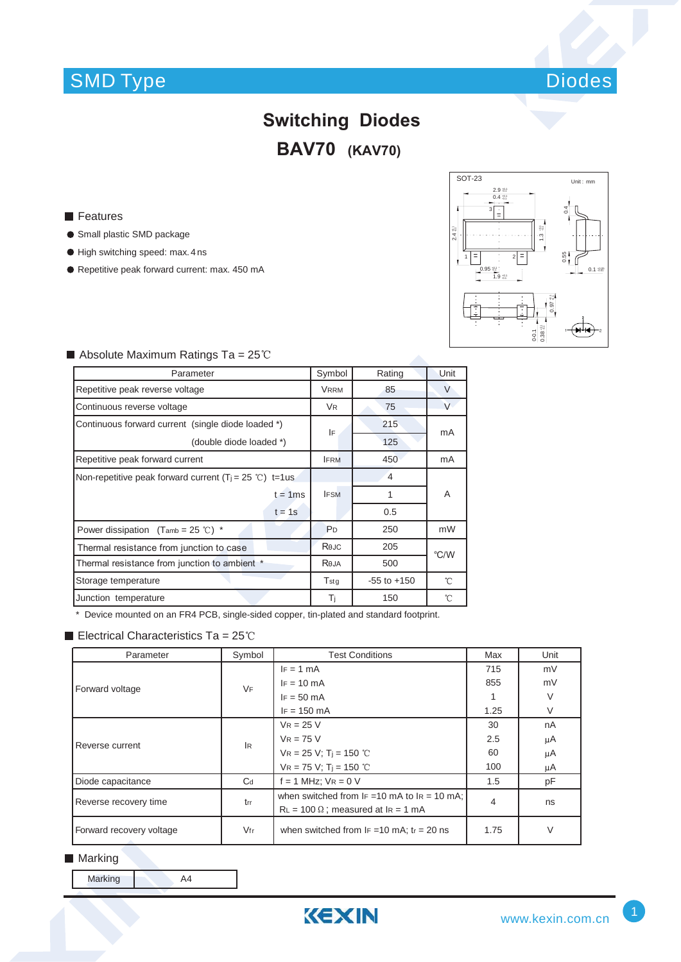

## **Switching Diodes BAV70 (KAV70)**

#### **Features**

- **Small plastic SMD package**
- $\bullet$  High switching speed: max. 4 ns
- Repetitive peak forward current: max. 450 mA



| Absolute Maximum Ratings Ta = $25^{\circ}$ C |  |
|----------------------------------------------|--|
|----------------------------------------------|--|

| Parameter                                                 |                | Rating          | Unit                |  |
|-----------------------------------------------------------|----------------|-----------------|---------------------|--|
| Repetitive peak reverse voltage                           |                | 85              | $\vee$              |  |
| Continuous reverse voltage                                |                | 75              | V                   |  |
| Continuous forward current (single diode loaded *)        | IF             | 215             | mA                  |  |
| (double diode loaded *)                                   |                | 125             |                     |  |
| Repetitive peak forward current                           | <b>IFRM</b>    | 450             | mA                  |  |
| Non-repetitive peak forward current $(Ti = 25 °C)$ t=1 us |                | 4               |                     |  |
| $t = 1$ ms                                                | <b>IFSM</b>    | 1               | A                   |  |
| $t = 1s$                                                  |                | 0.5             |                     |  |
| Power dissipation $(Tamb = 25 °C)$ *                      | P <sub>D</sub> | 250             | mW                  |  |
| Thermal resistance from junction to case                  | Rejc           | 205             | °C/W                |  |
| Thermal resistance from junction to ambient *             |                | 500             |                     |  |
| Storage temperature                                       | $T_{\rm stg}$  | $-55$ to $+150$ | $\hat{\mathcal{C}}$ |  |
| Junction temperature                                      | Ti             | 150             | 'n                  |  |

\* Device mounted on an FR4 PCB, single-sided copper, tin-plated and standard footprint.

#### Electrical Characteristics Ta =  $25^{\circ}$ C

| Parameter                | Symbol | <b>Test Conditions</b>                                                                        | Max  | Unit |
|--------------------------|--------|-----------------------------------------------------------------------------------------------|------|------|
| Forward voltage          | VF     | $IF = 1 mA$                                                                                   | 715  | mV   |
|                          |        | $IF = 10 mA$                                                                                  | 855  | mV   |
|                          |        | $IF = 50 mA$                                                                                  |      | V    |
|                          |        | $IF = 150 mA$                                                                                 | 1.25 | V    |
| Reverse current          | IR.    | $VR = 25 V$                                                                                   | 30   | nA   |
|                          |        | $V_R = 75 V$                                                                                  | 2.5  | μA   |
|                          |        | $VR = 25 V; Tj = 150 °C$                                                                      | 60   | μA   |
|                          |        | $VR = 75 V$ ; T <sub>i</sub> = 150 °C                                                         | 100  | μA   |
| Diode capacitance        | $C_d$  | $f = 1$ MHz; $VR = 0$ V                                                                       | 1.5  | pF   |
| Reverse recovery time    | trr    | when switched from $F = 10$ mA to $F = 10$ mA:<br>$RL = 100 \Omega$ ; measured at $IR = 1 mA$ | 4    | ns   |
| Forward recovery voltage | Vfr    | when switched from $IF = 10$ mA; $tr = 20$ ns                                                 | 1.75 | V    |

#### **Marking**

Marking A4

KEXIN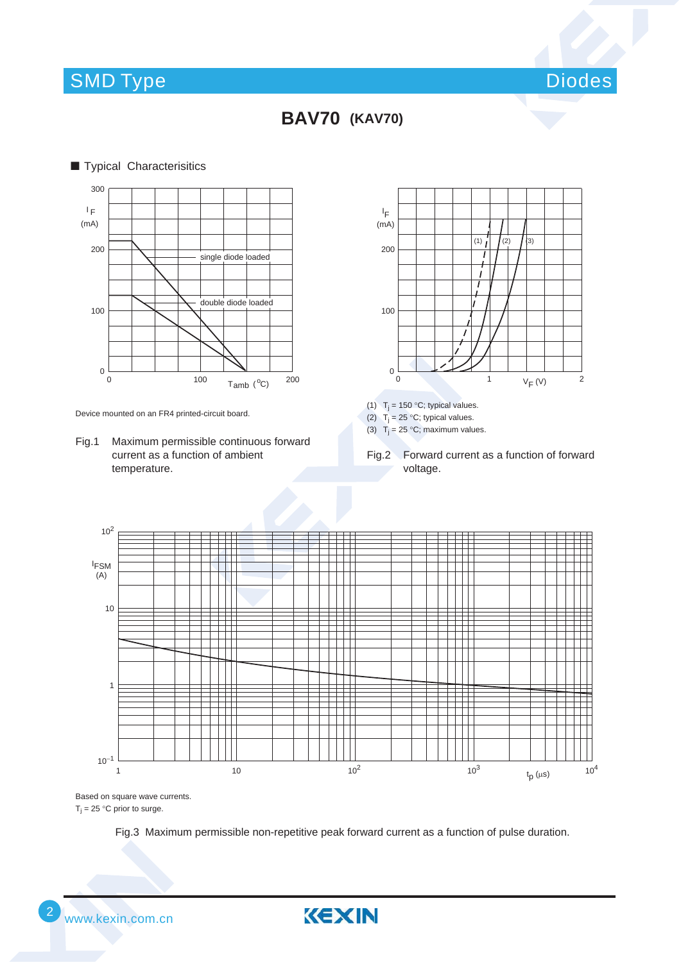### SMD Type Diodes and Diodes and Diodes and Diodes and Diodes and Diodes and Diodes and Diodes and Diodes and Diodes



**BAV70 (KAV70)**



Device mounted on an FR4 printed-circuit board.

Fig.1 Maximum permissible continuous forward current as a function of ambient temperature.



(1)  $T_j = 150 °C$ ; typical values.

(2)  $T_j = 25 °C$ ; typical values.

(3)  $T_i = 25 \degree C$ ; maximum values.

Fig.2 Forward current as a function of forward voltage.



Based on square wave currents.  $T_i = 25$  °C prior to surge.

Fig.3 Maximum permissible non-repetitive peak forward current as a function of pulse duration.

KEXIN